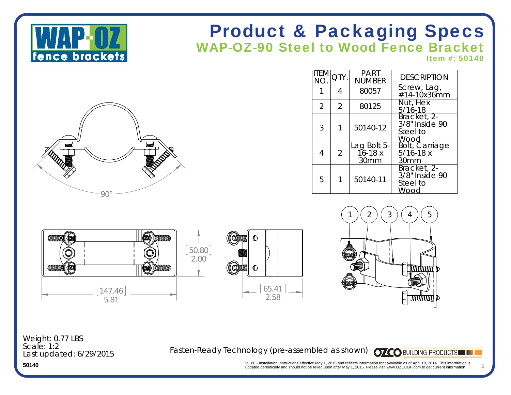

# Product & Packaging Specs WAP-OZ-90 Steel to Wood Fence Bracket

Item #: 50140



| item           | QTY.           | <b>PART</b><br><b>NUMBER</b>      | <b>DESCRIPTION</b>                                |
|----------------|----------------|-----------------------------------|---------------------------------------------------|
|                | 4              | 80057                             | Screw, Lag,<br>#14-10x36mm                        |
| $\overline{2}$ | $\overline{2}$ | 80125                             | Nut, Hex<br>$5/16 - 18$                           |
| 3              |                | 50140-12                          | Bracket, 2-<br>3/8" Inside 90<br>Steel to<br>Wood |
| 4              | $\overline{2}$ | Lag Bolt 5-<br>$16 - 18x$<br>30mm | Bolt, Carriage<br>$5/16 - 18x$<br>30mm            |
| 5              |                | 50140-11                          | Bracket, 2-<br>3/8" Inside 90<br>Steel to<br>Wood |







Last updated: 6/29/2015 Weight: 0.77 LBS Scale: 1:2

Fasten-Ready Technology (pre-assembled as shown) **OZCO** BUILDING PRODUCTS

1

V1.00 - Installation Instructions effective May 1, 2015 and reflects information that available as of April 10, 2014. This information is updated periodically and should not be relied upon after May 1, 2015. Please visit w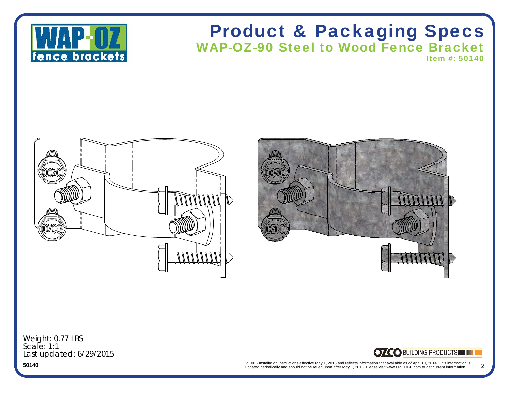

### Product & Packaging Specs WAP-OZ-90 Steel to Wood Fence Bracket Item #: 50140





Last updated: 6/29/2015 Weight: 0.77 LBS Scale: 1:1

### **OZCO BUILDING PRODUCTS**

V1.00 - Installation Instructions effective May 1, 2015 and reflects information that available as of April 10, 2014. This information is updated periodically and should not be relied upon after May 1, 2015. Please visit w 2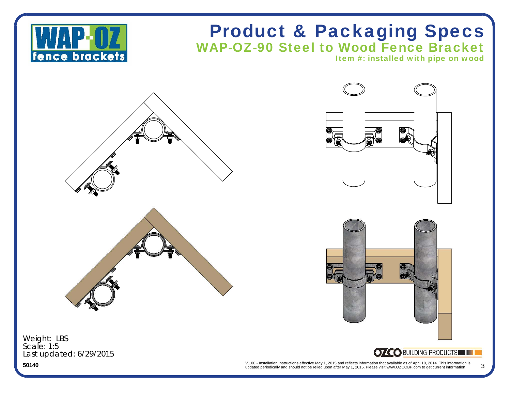

## Product & Packaging Specs WAP-OZ-90 Steel to Wood Fence Bracket

Item #: installed with pipe on wood







Last updated: 6/29/2015 Weight: LBS Scale: 1:5

### **OZCO BUILDING PRODUCTS**

V1.00 - Installation Instructions effective May 1, 2015 and reflects information that available as of April 10, 2014. This information is updated periodically and should not be relied upon after May 1, 2015. Please visit w 3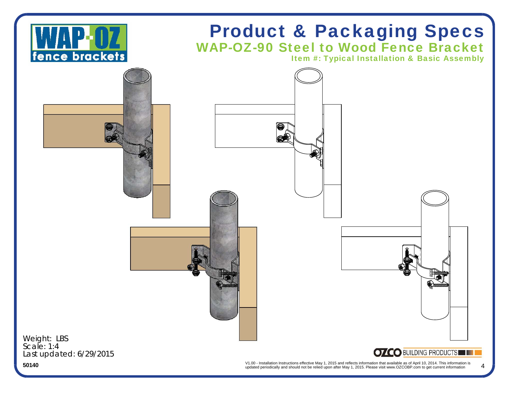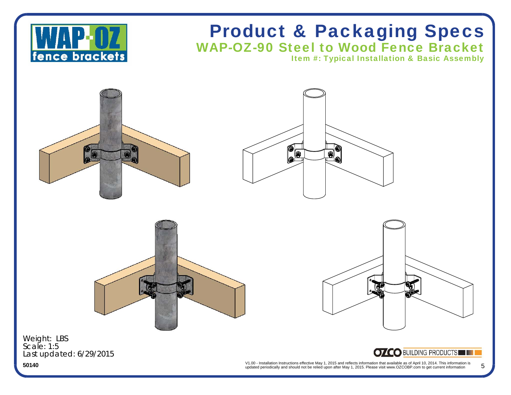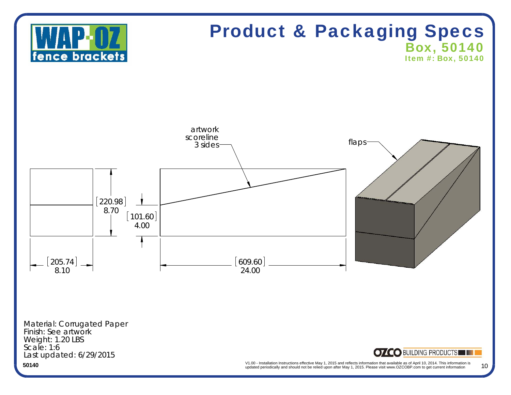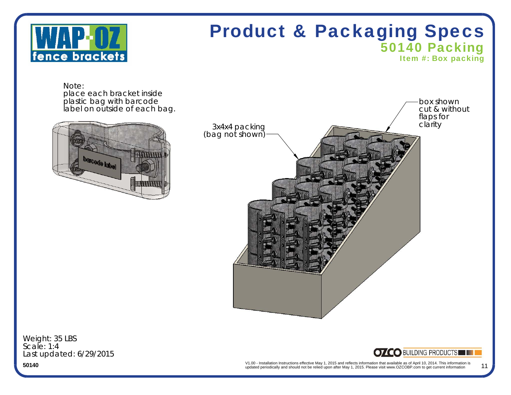

# Product & Packaging Specs 50140 Packing

Item #: Box packing

Note:place each bracket inside plastic bag with barcode label on outside of each bag.





Last updated: 6/29/2015 Weight: 35 LBS Scale: 1:4



V1.00 - Installation Instructions effective May 1, 2015 and reflects information that available as of April 10, 2014. This information is<br>updated periodically and should not be relied upon after May 1, 2015. Please visit w 11